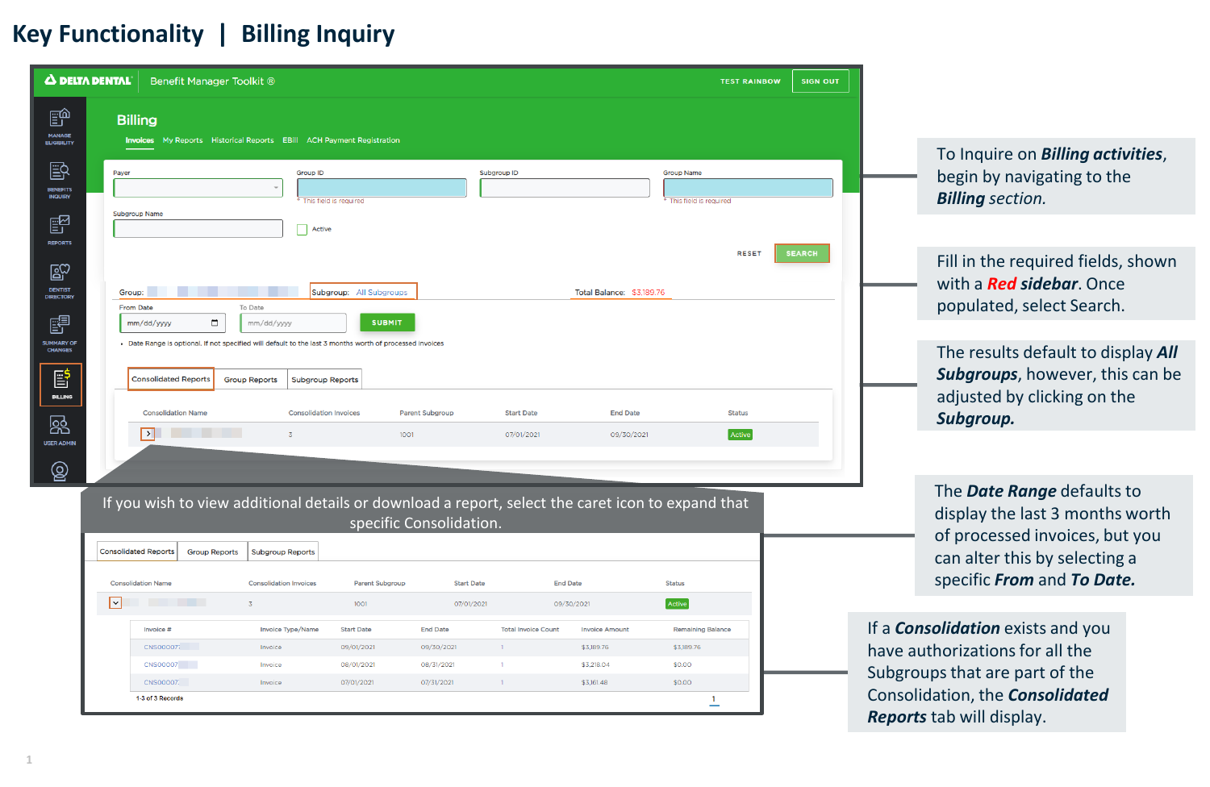## **Key Functionality | Billing Inquiry**

| <b>A DELTA DENTAL</b><br>Benefit Manager Toolkit ®<br><b>SIGN OUT</b><br><b>TEST RAINBOW</b> |                                                                                                                                                                                    |                                                          |                                                                  |                                               |  |  |  |  |  |  |
|----------------------------------------------------------------------------------------------|------------------------------------------------------------------------------------------------------------------------------------------------------------------------------------|----------------------------------------------------------|------------------------------------------------------------------|-----------------------------------------------|--|--|--|--|--|--|
| 颤<br><b>MANAGE</b><br><b>ELIGIBILITY</b>                                                     | <b>Billing</b><br><b>Invoices</b> My Reports Historical Reports EBill ACH Payment Registration                                                                                     |                                                          |                                                                  |                                               |  |  |  |  |  |  |
| 毆<br><b>BENEFITS</b><br><b>INQUIRY</b>                                                       | Payer                                                                                                                                                                              | Group ID<br>* This field is required                     | Subgroup ID                                                      | <b>Group Name</b><br>* This field is required |  |  |  |  |  |  |
| e<br><b>REPORTS</b>                                                                          | <b>Subgroup Name</b>                                                                                                                                                               | Active                                                   |                                                                  | <b>RESET</b><br><b>SEARCH</b>                 |  |  |  |  |  |  |
| $\mathbb{E}^{\!\mathbb{C}}$<br><b>DENTIST</b><br><b>DIRECTORY</b>                            | Group:                                                                                                                                                                             | Subgroup: All Subgroups                                  | <b>Total Balance: \$3,189.76</b>                                 |                                               |  |  |  |  |  |  |
| 鷗<br><b>SUMMARY OF</b><br><b>CHANGES</b>                                                     | From Date<br>To Date<br>□<br><b>SUBMIT</b><br>mm/dd/yyyy<br>mm/dd/yyyy<br>- Date Range is optional. If not specified will default to the last 3 months worth of processed invoices |                                                          |                                                                  |                                               |  |  |  |  |  |  |
| 昏<br><b>BILLING</b>                                                                          | <b>Consolidated Reports</b><br><b>Group Reports</b>                                                                                                                                | <b>Subgroup Reports</b>                                  |                                                                  |                                               |  |  |  |  |  |  |
| 焏<br><b>USER ADMIN</b>                                                                       | <b>Consolidation Name</b><br><b>The Common State</b><br>$\overline{\phantom{a}}$<br>$\overline{3}$                                                                                 | <b>Consolidation Invoices</b><br>Parent Subgroup<br>1001 | <b>End Date</b><br><b>Start Date</b><br>07/01/2021<br>09/30/2021 | <b>Status</b><br>Active                       |  |  |  |  |  |  |
| මූ                                                                                           |                                                                                                                                                                                    |                                                          |                                                                  |                                               |  |  |  |  |  |  |

If you wish to view additional details or download a report, select the caret icon to expand that specific Consolidation.

|  |        | <b>Consolidated Reports</b> | <b>Group Reports</b> | <b>Subgroup Reports</b>       |                   |                   |                            |                       |                          |
|--|--------|-----------------------------|----------------------|-------------------------------|-------------------|-------------------|----------------------------|-----------------------|--------------------------|
|  |        | <b>Consolidation Name</b>   |                      | <b>Consolidation Invoices</b> | Parent Subgroup   | <b>Start Date</b> |                            | <b>End Date</b>       | <b>Status</b>            |
|  | $\vee$ | <b>The Common State</b>     |                      |                               | 1001              | 07/01/2021        |                            | 09/30/2021            | Active                   |
|  |        | Invoice #                   |                      | Invoice Type/Name             | <b>Start Date</b> | <b>End Date</b>   | <b>Total Invoice Count</b> | <b>Invoice Amount</b> | <b>Remaining Balance</b> |
|  |        | CNS000077                   |                      | Invoice                       | 09/01/2021        | 09/30/2021        |                            | \$3,189.76            | \$3,189.76               |
|  |        | <b>CNS00007</b>             |                      | Invoice                       | 08/01/2021        | 08/31/2021        |                            | \$3,218.04            | \$0.00                   |
|  |        | <b>CNS00007:</b>            |                      | Invoice                       | 07/01/2021        | 07/31/2021        |                            | \$3,161.48            | \$0.00                   |
|  |        | 1-3 of 3 Records            |                      |                               |                   |                   |                            |                       |                          |

To Inquire on *Billing activities*, begin by navigating to the *Billing section.*

Fill in the required fields, shown with a *Red sidebar*. Once populated, select Search.

The results default to display *All Subgroups*, however, this can be adjusted by clicking on the *Subgroup.*

The *Date Range* defaults to display the last 3 months worth of processed invoices, but you can alter this by selecting a specific *From* and *To Date.*

If a *Consolidation* exists and you have authorizations for all the Subgroups that are part of the Consolidation, the *Consolidated Reports* tab will display.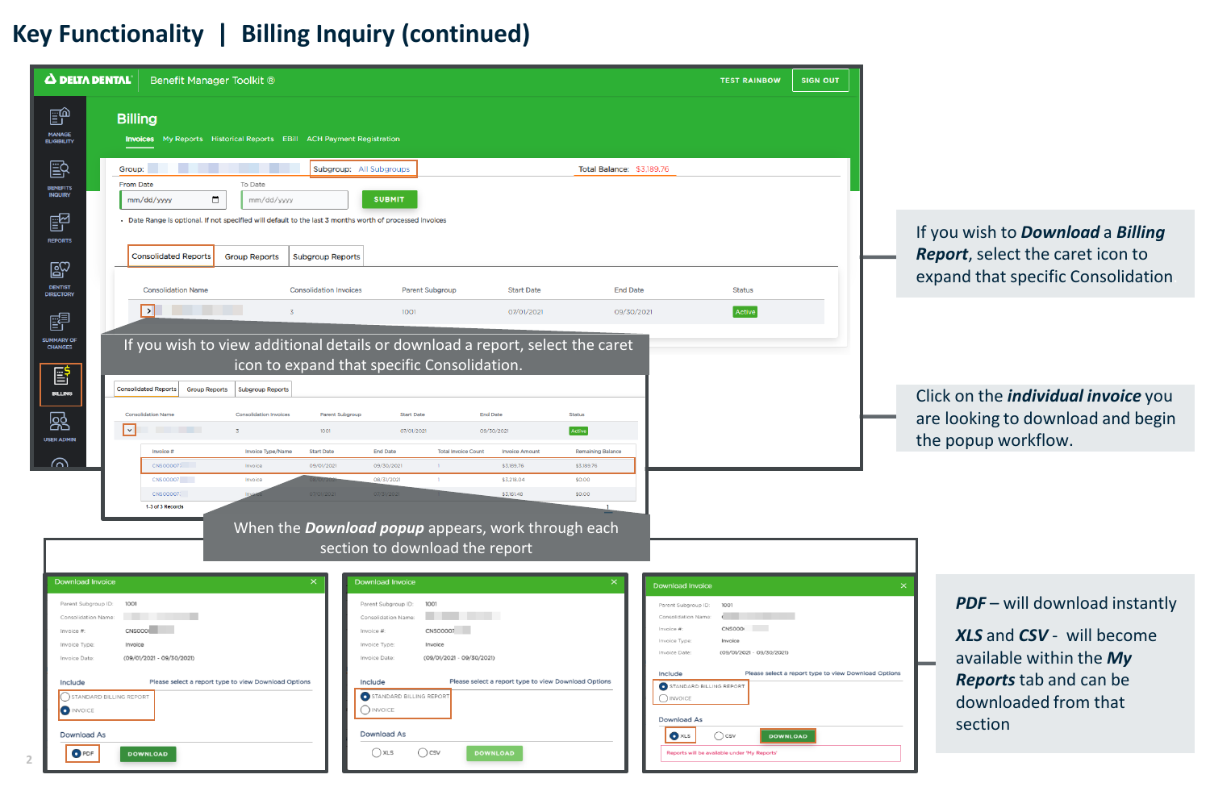## **Key Functionality | Billing Inquiry (continued)**

| Δ DELTA DENTAL                                                                                                                                                                  | Benefit Manager Toolkit ®                                                                                                                                                                                                                                |                                                                                                                                                                                                                                                                                                                             |                                                                                                                                                                                                                             | <b>TEST RAINBOW</b><br><b>SIGN OUT</b>                                                                                                                                                                                       |                                                                                                                                                           |  |
|---------------------------------------------------------------------------------------------------------------------------------------------------------------------------------|----------------------------------------------------------------------------------------------------------------------------------------------------------------------------------------------------------------------------------------------------------|-----------------------------------------------------------------------------------------------------------------------------------------------------------------------------------------------------------------------------------------------------------------------------------------------------------------------------|-----------------------------------------------------------------------------------------------------------------------------------------------------------------------------------------------------------------------------|------------------------------------------------------------------------------------------------------------------------------------------------------------------------------------------------------------------------------|-----------------------------------------------------------------------------------------------------------------------------------------------------------|--|
| 颤<br><b>MANAGE</b><br>ELIGIBILITY<br>邼<br>BENEFITS<br><b>INQUIRY</b>                                                                                                            | <b>Billing</b><br>Invoices My Reports Historical Reports EBill ACH Payment Registration<br>Group:<br>To Date<br><b>From Date</b><br>$\Box$<br>mm/dd/yyyy<br>mm/dd/yyyy                                                                                   | Subgroup: All Subgroups<br><b>SUBMIT</b>                                                                                                                                                                                                                                                                                    |                                                                                                                                                                                                                             |                                                                                                                                                                                                                              |                                                                                                                                                           |  |
| ₽<br>REPORTS<br>$\mathbb{E}^{\heartsuit}$<br><b>DENTIST<br/>DIRECTORY</b>                                                                                                       | - Date Range is optional. If not specified will default to the last 3 months worth of processed invoices<br><b>Consolidated Reports</b><br><b>Group Reports</b><br><b>Subgroup Reports</b><br><b>Consolidation Name</b><br><b>Consolidation Invoices</b> | <b>Parent Subgroup</b>                                                                                                                                                                                                                                                                                                      | Status                                                                                                                                                                                                                      | If you wish to <b>Download</b> a <b>Billing</b><br>Report, select the caret icon to<br>expand that specific Consolidation                                                                                                    |                                                                                                                                                           |  |
| 嗜<br><b>SUMMARY OF</b><br><b>CHANGES</b><br>冒<br><b>BILLING</b>                                                                                                                 | $\mathbf{y}$ and $\mathbf{y}$ and $\mathbf{y}$<br>If you wish to view additional details or download a report, select the caret<br><b>Consolidated Reports</b><br><b>Group Reports</b><br><b>Subgroup Reports</b>                                        | 1001<br>icon to expand that specific Consolidation.                                                                                                                                                                                                                                                                         | 07/01/2021<br>09/30/2021                                                                                                                                                                                                    | Active                                                                                                                                                                                                                       | Click on the <i>individual invoice</i> you                                                                                                                |  |
| 慁<br><b>USER ADMIN</b><br>൶                                                                                                                                                     | Consolidation Name<br><b>Consolidation Invoices</b><br>$\lvert \cdot \rvert$<br>1001<br>Invoice #<br>Invoice Type/Name<br><b>Start Date</b><br>CNS00007<br>09/01/202<br>Invoice<br>CNS00007<br>Invoice                                                   | <b>End Date</b><br><b>Status</b><br><b>Parent Subgroup</b><br><b>Start Date</b><br>Active<br>07/01/2021<br>09/30/2021<br><b>End Date</b><br><b>Total Invoice Count</b><br><b>Invoice Amoun</b><br><b>Remaining Balance</b><br>\$3,189.76<br>09/30/202<br>\$3,189.76<br>08/31/2021<br>\$3,218.04<br>\$0.00<br>$\blacksquare$ |                                                                                                                                                                                                                             |                                                                                                                                                                                                                              | are looking to download and begin<br>the popup workflow.                                                                                                  |  |
|                                                                                                                                                                                 | CNS00007<br>1-3 of 3 Records                                                                                                                                                                                                                             | When the <b>Download popup</b> appears, work through each<br>section to download the report                                                                                                                                                                                                                                 | \$3,161.48<br>\$0.00                                                                                                                                                                                                        |                                                                                                                                                                                                                              |                                                                                                                                                           |  |
| <b>Download Invoice</b><br>Parent Subgroup ID:<br>Consolidation Name<br>Invoice #<br>Invoice Type<br>Invoice Date<br>Include<br><b>O INVOICE</b><br><b>Download As</b><br>O PDF | 1001<br>CNSOOOL<br>Invoice<br>(09/01/2021 - 09/30/2021)<br>Please select a report type to view Download Options<br>STANDARD BILLING REPORT<br><b>DOWNLOAD</b>                                                                                            | <b>Download Invoice</b><br>1001<br>Parent Subgroup ID:<br>Consolidation Name<br>CNS00007<br>Invoice #<br>Invoice Type<br>Invoice<br>(09/01/2021 - 09/30/2021)<br>Invoice Date:<br>Include<br>STANDARD BILLING REPORT<br>$\bigcap$ INVOICE<br>Download As<br>$\bigcap$ csv<br><b>DOWNLOAD</b><br>() xls                      | <b>Download Invoice</b><br>Parent Subgroup ID:<br>Invoice #<br>Invoice Type<br>Invoice Date<br>Include<br>Please select a report type to view Download Options<br>$\bigcirc$ invoice<br><b>Download As</b><br>$\bullet$ xLS | 100<br>CNS000<br>Invoice<br>(09/01/2021 - 09/30/2021)<br>Please select a report type to view Download Options<br>STANDARD BILLING REPORT<br>$\bigcirc$ csv<br><b>DOWNLOAD</b><br>Reports will be available under 'My Reports | <b>PDF</b> - will download instantly<br>XLS and CSV - will become<br>available within the My<br>Reports tab and can be<br>downloaded from that<br>section |  |